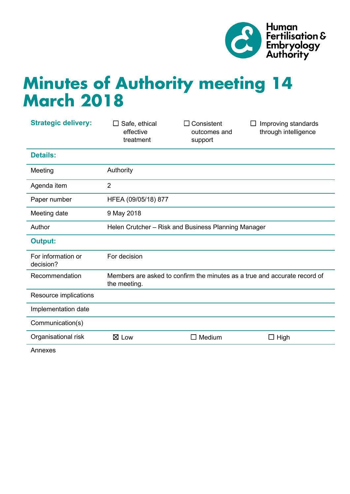

# **Minutes of Authority meeting 14 March 2018**

| <b>Strategic delivery:</b>      | Safe, ethical<br>$\Box$<br>effective<br>treatment                                         | Consistent<br>outcomes and<br>support | Improving standards<br>$\perp$<br>through intelligence |
|---------------------------------|-------------------------------------------------------------------------------------------|---------------------------------------|--------------------------------------------------------|
| <b>Details:</b>                 |                                                                                           |                                       |                                                        |
| Meeting                         | Authority                                                                                 |                                       |                                                        |
| Agenda item                     | $\overline{2}$                                                                            |                                       |                                                        |
| Paper number                    | HFEA (09/05/18) 877                                                                       |                                       |                                                        |
| Meeting date                    | 9 May 2018                                                                                |                                       |                                                        |
| Author                          | Helen Crutcher - Risk and Business Planning Manager                                       |                                       |                                                        |
| <b>Output:</b>                  |                                                                                           |                                       |                                                        |
| For information or<br>decision? | For decision                                                                              |                                       |                                                        |
| Recommendation                  | Members are asked to confirm the minutes as a true and accurate record of<br>the meeting. |                                       |                                                        |
| Resource implications           |                                                                                           |                                       |                                                        |
| Implementation date             |                                                                                           |                                       |                                                        |
| Communication(s)                |                                                                                           |                                       |                                                        |
| Organisational risk             | $\boxtimes$ Low                                                                           | Medium<br>LI                          | $\Box$ High                                            |

Annexes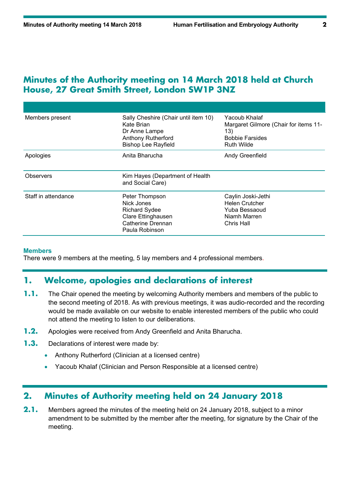#### **Minutes of the Authority meeting on 14 March 2018 held at Church House, 27 Great Smith Street, London SW1P 3NZ**

| Members present     | Sally Cheshire (Chair until item 10)<br>Kate Brian<br>Dr Anne Lampe<br><b>Anthony Rutherford</b><br><b>Bishop Lee Rayfield</b> | Yacoub Khalaf<br>Margaret Gilmore (Chair for items 11-<br>13)<br><b>Bobbie Farsides</b><br><b>Ruth Wilde</b> |
|---------------------|--------------------------------------------------------------------------------------------------------------------------------|--------------------------------------------------------------------------------------------------------------|
| Apologies           | Anita Bharucha<br>Andy Greenfield                                                                                              |                                                                                                              |
| Observers           | Kim Hayes (Department of Health<br>and Social Care)                                                                            |                                                                                                              |
| Staff in attendance | Peter Thompson<br>Nick Jones<br><b>Richard Sydee</b><br>Clare Ettinghausen<br>Catherine Drennan<br>Paula Robinson              | Caylin Joski-Jethi<br><b>Helen Crutcher</b><br>Yuba Bessaoud<br>Niamh Marren<br>Chris Hall                   |

#### **Members**

There were 9 members at the meeting, 5 lay members and 4 professional members.

#### **1. Welcome, apologies and declarations of interest**

- **1.1.** The Chair opened the meeting by welcoming Authority members and members of the public to the second meeting of 2018. As with previous meetings, it was audio-recorded and the recording would be made available on our website to enable interested members of the public who could not attend the meeting to listen to our deliberations.
- **1.2.** Apologies were received from Andy Greenfield and Anita Bharucha.
- **1.3.** Declarations of interest were made by:
	- Anthony Rutherford (Clinician at a licensed centre)
	- Yacoub Khalaf (Clinician and Person Responsible at a licensed centre)

#### **2. Minutes of Authority meeting held on 24 January 2018**

**2.1.** Members agreed the minutes of the meeting held on 24 January 2018, subject to a minor amendment to be submitted by the member after the meeting, for signature by the Chair of the meeting.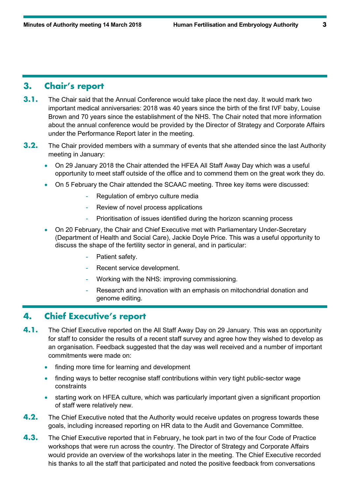# **3. Chair's report**

- **3.1.** The Chair said that the Annual Conference would take place the next day. It would mark two important medical anniversaries: 2018 was 40 years since the birth of the first IVF baby, Louise Brown and 70 years since the establishment of the NHS. The Chair noted that more information about the annual conference would be provided by the Director of Strategy and Corporate Affairs under the Performance Report later in the meeting.
- **3.2.** The Chair provided members with a summary of events that she attended since the last Authority meeting in January:
	- On 29 January 2018 the Chair attended the HFEA All Staff Away Day which was a useful opportunity to meet staff outside of the office and to commend them on the great work they do.
	- On 5 February the Chair attended the SCAAC meeting. Three key items were discussed:
		- Regulation of embryo culture media
		- Review of novel process applications
		- Prioritisation of issues identified during the horizon scanning process
	- On 20 February, the Chair and Chief Executive met with Parliamentary Under-Secretary (Department of Health and Social Care), Jackie Doyle Price. This was a useful opportunity to discuss the shape of the fertility sector in general, and in particular:
		- Patient safety.
		- Recent service development.
		- Working with the NHS: improving commissioning.
		- Research and innovation with an emphasis on mitochondrial donation and genome editing.

#### **4. Chief Executive's report**

- **4.1.** The Chief Executive reported on the All Staff Away Day on 29 January. This was an opportunity for staff to consider the results of a recent staff survey and agree how they wished to develop as an organisation. Feedback suggested that the day was well received and a number of important commitments were made on:
	- finding more time for learning and development
	- finding ways to better recognise staff contributions within very tight public-sector wage constraints
	- starting work on HFEA culture, which was particularly important given a significant proportion of staff were relatively new.
- **4.2.** The Chief Executive noted that the Authority would receive updates on progress towards these goals, including increased reporting on HR data to the Audit and Governance Committee.
- **4.3.** The Chief Executive reported that in February, he took part in two of the four Code of Practice workshops that were run across the country. The Director of Strategy and Corporate Affairs would provide an overview of the workshops later in the meeting. The Chief Executive recorded his thanks to all the staff that participated and noted the positive feedback from conversations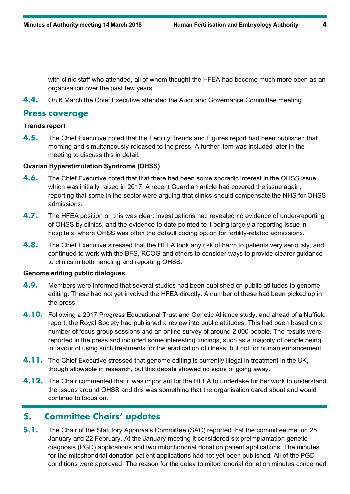with clinic staff who attended, all of whom thought the HFEA had become much more open as an organisation over the past few years.

**4.4.** On 6 March the Chief Executive attended the Audit and Governance Committee meeting.

#### **Press coverage**

#### **Trends report**

**4.5.** The Chief Executive noted that the Fertility Trends and Figures report had been published that morning and simultaneously released to the press. A further item was included later in the meeting to discuss this in detail.

#### **Ovarian Hyperstimulation Syndrome (OHSS)**

- **4.6.** The Chief Executive noted that that there had been some sporadic interest in the OHSS issue which was initially raised in 2017. A recent Guardian article had covered the issue again, reporting that some in the sector were arguing that clinics should compensate the NHS for OHSS admissions.
- **4.7.** The HFEA position on this was clear: investigations had revealed no evidence of under-reporting of OHSS by clinics, and the evidence to date pointed to it being largely a reporting issue in hospitals, where OHSS was often the default coding option for fertility-related admissions.
- **4.8.** The Chief Executive stressed that the HFEA took any risk of harm to patients very seriously, and continued to work with the BFS, RCOG and others to consider ways to provide clearer guidance to clinics in both handling and reporting OHSS.

#### **Genome editing public dialogues**

- **4.9.** Members were informed that several studies had been published on public attitudes to genome editing. These had not yet involved the HFEA directly. A number of these had been picked up in the press.
- **4.10.** Following a 2017 Progress Educational Trust and Genetic Alliance study, and ahead of a Nuffield report, the Royal Society had published a review into public attitudes. This had been based on a number of focus group sessions and an online survey of around 2,000 people. The results were reported in the press and included some interesting findings, such as a majority of people being in favour of using such treatments for the eradication of illness, but not for human enhancement.
- **4.11.** The Chief Executive stressed that genome editing is currently illegal in treatment in the UK, though allowable in research, but this debate showed no signs of going away.
- **4.12.** The Chair commented that it was important for the HFEA to undertake further work to understand the issues around OHSS and this was something that the organisation cared about and would continue to focus on.

# **5. Committee Chairs' updates**

**5.1.** The Chair of the Statutory Approvals Committee (SAC) reported that the committee met on 25 January and 22 February. At the January meeting it considered six preimplantation genetic diagnosis (PGD) applications and two mitochondrial donation patient applications. The minutes for the mitochondrial donation patient applications had not yet been published. All of the PGD conditions were approved. The reason for the delay to mitochondrial donation minutes concerned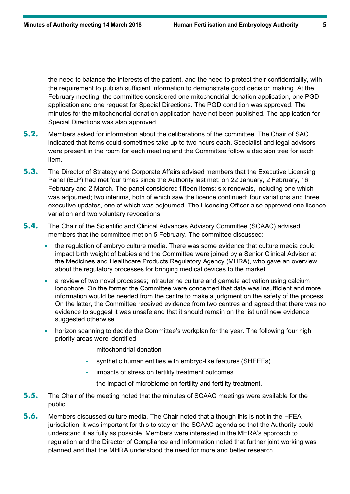the need to balance the interests of the patient, and the need to protect their confidentiality, with the requirement to publish sufficient information to demonstrate good decision making. At the February meeting, the committee considered one mitochondrial donation application, one PGD application and one request for Special Directions. The PGD condition was approved. The minutes for the mitochondrial donation application have not been published. The application for Special Directions was also approved.

- **5.2.** Members asked for information about the deliberations of the committee. The Chair of SAC indicated that items could sometimes take up to two hours each. Specialist and legal advisors were present in the room for each meeting and the Committee follow a decision tree for each item.
- **5.3.** The Director of Strategy and Corporate Affairs advised members that the Executive Licensing Panel (ELP) had met four times since the Authority last met; on 22 January, 2 February, 16 February and 2 March. The panel considered fifteen items; six renewals, including one which was adjourned; two interims, both of which saw the licence continued; four variations and three executive updates, one of which was adjourned. The Licensing Officer also approved one licence variation and two voluntary revocations.
- **5.4.** The Chair of the Scientific and Clinical Advances Advisory Committee (SCAAC) advised members that the committee met on 5 February. The committee discussed:
	- the regulation of embryo culture media. There was some evidence that culture media could impact birth weight of babies and the Committee were joined by a Senior Clinical Advisor at the Medicines and Healthcare Products Regulatory Agency (MHRA), who gave an overview about the regulatory processes for bringing medical devices to the market.
	- a review of two novel processes; intrauterine culture and gamete activation using calcium ionophore. On the former the Committee were concerned that data was insufficient and more information would be needed from the centre to make a judgment on the safety of the process. On the latter, the Committee received evidence from two centres and agreed that there was no evidence to suggest it was unsafe and that it should remain on the list until new evidence suggested otherwise.
	- horizon scanning to decide the Committee's workplan for the year. The following four high priority areas were identified:
		- mitochondrial donation
		- synthetic human entities with embryo-like features (SHEEFs)
		- impacts of stress on fertility treatment outcomes
		- the impact of microbiome on fertility and fertility treatment.
- **5.5.** The Chair of the meeting noted that the minutes of SCAAC meetings were available for the public.
- **5.6.** Members discussed culture media. The Chair noted that although this is not in the HFEA jurisdiction, it was important for this to stay on the SCAAC agenda so that the Authority could understand it as fully as possible. Members were interested in the MHRA's approach to regulation and the Director of Compliance and Information noted that further joint working was planned and that the MHRA understood the need for more and better research.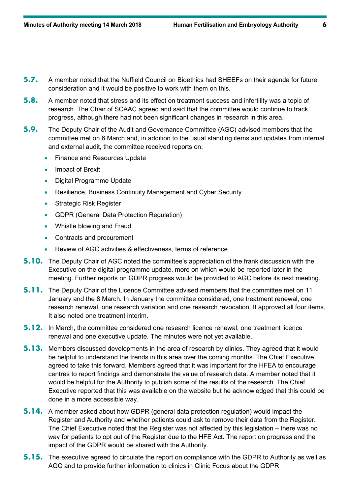- **5.7.** A member noted that the Nuffield Council on Bioethics had SHEEFs on their agenda for future consideration and it would be positive to work with them on this.
- **5.8.** A member noted that stress and its effect on treatment success and infertility was a topic of research. The Chair of SCAAC agreed and said that the committee would continue to track progress, although there had not been significant changes in research in this area.
- **5.9.** The Deputy Chair of the Audit and Governance Committee (AGC) advised members that the committee met on 6 March and, in addition to the usual standing items and updates from internal and external audit, the committee received reports on:
	- Finance and Resources Update
	- Impact of Brexit
	- Digital Programme Update
	- Resilience, Business Continuity Management and Cyber Security
	- **Strategic Risk Register**
	- GDPR (General Data Protection Regulation)
	- Whistle blowing and Fraud
	- Contracts and procurement
	- Review of AGC activities & effectiveness, terms of reference
- **5.10.** The Deputy Chair of AGC noted the committee's appreciation of the frank discussion with the Executive on the digital programme update, more on which would be reported later in the meeting. Further reports on GDPR progress would be provided to AGC before its next meeting.
- **5.11.** The Deputy Chair of the Licence Committee advised members that the committee met on 11 January and the 8 March. In January the committee considered, one treatment renewal, one research renewal, one research variation and one research revocation. It approved all four items. It also noted one treatment interim.
- **5.12.** In March, the committee considered one research licence renewal, one treatment licence renewal and one executive update. The minutes were not yet available.
- **5.13.** Members discussed developments in the area of research by clinics. They agreed that it would be helpful to understand the trends in this area over the coming months. The Chief Executive agreed to take this forward. Members agreed that it was important for the HFEA to encourage centres to report findings and demonstrate the value of research data. A member noted that it would be helpful for the Authority to publish some of the results of the research. The Chief Executive reported that this was available on the website but he acknowledged that this could be done in a more accessible way.
- **5.14.** A member asked about how GDPR (general data protection regulation) would impact the Register and Authority and whether patients could ask to remove their data from the Register. The Chief Executive noted that the Register was not affected by this legislation – there was no way for patients to opt out of the Register due to the HFE Act. The report on progress and the impact of the GDPR would be shared with the Authority.
- **5.15.** The executive agreed to circulate the report on compliance with the GDPR to Authority as well as AGC and to provide further information to clinics in Clinic Focus about the GDPR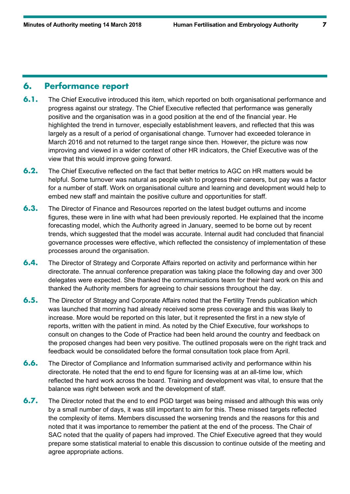## **6. Performance report**

- **6.1.** The Chief Executive introduced this item, which reported on both organisational performance and progress against our strategy. The Chief Executive reflected that performance was generally positive and the organisation was in a good position at the end of the financial year. He highlighted the trend in turnover, especially establishment leavers, and reflected that this was largely as a result of a period of organisational change. Turnover had exceeded tolerance in March 2016 and not returned to the target range since then. However, the picture was now improving and viewed in a wider context of other HR indicators, the Chief Executive was of the view that this would improve going forward.
- **6.2.** The Chief Executive reflected on the fact that better metrics to AGC on HR matters would be helpful. Some turnover was natural as people wish to progress their careers, but pay was a factor for a number of staff. Work on organisational culture and learning and development would help to embed new staff and maintain the positive culture and opportunities for staff.
- **6.3.** The Director of Finance and Resources reported on the latest budget outturns and income figures, these were in line with what had been previously reported. He explained that the income forecasting model, which the Authority agreed in January, seemed to be borne out by recent trends, which suggested that the model was accurate. Internal audit had concluded that financial governance processes were effective, which reflected the consistency of implementation of these processes around the organisation.
- **6.4.** The Director of Strategy and Corporate Affairs reported on activity and performance within her directorate. The annual conference preparation was taking place the following day and over 300 delegates were expected. She thanked the communications team for their hard work on this and thanked the Authority members for agreeing to chair sessions throughout the day.
- **6.5.** The Director of Strategy and Corporate Affairs noted that the Fertility Trends publication which was launched that morning had already received some press coverage and this was likely to increase. More would be reported on this later, but it represented the first in a new style of reports, written with the patient in mind. As noted by the Chief Executive, four workshops to consult on changes to the Code of Practice had been held around the country and feedback on the proposed changes had been very positive. The outlined proposals were on the right track and feedback would be consolidated before the formal consultation took place from April.
- **6.6.** The Director of Compliance and Information summarised activity and performance within his directorate. He noted that the end to end figure for licensing was at an all-time low, which reflected the hard work across the board. Training and development was vital, to ensure that the balance was right between work and the development of staff.
- **6.7.** The Director noted that the end to end PGD target was being missed and although this was only by a small number of days, it was still important to aim for this. These missed targets reflected the complexity of items. Members discussed the worsening trends and the reasons for this and noted that it was importance to remember the patient at the end of the process. The Chair of SAC noted that the quality of papers had improved. The Chief Executive agreed that they would prepare some statistical material to enable this discussion to continue outside of the meeting and agree appropriate actions.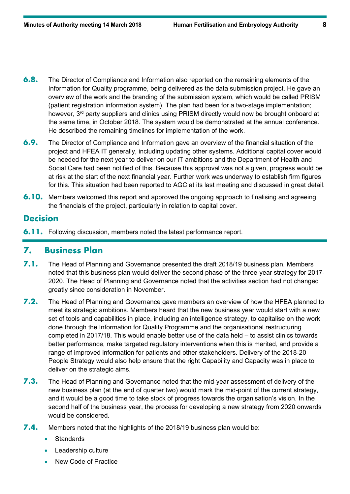- **6.8.** The Director of Compliance and Information also reported on the remaining elements of the Information for Quality programme, being delivered as the data submission project. He gave an overview of the work and the branding of the submission system, which would be called PRISM (patient registration information system). The plan had been for a two-stage implementation; however, 3<sup>rd</sup> party suppliers and clinics using PRISM directly would now be brought onboard at the same time, in October 2018. The system would be demonstrated at the annual conference. He described the remaining timelines for implementation of the work.
- **6.9.** The Director of Compliance and Information gave an overview of the financial situation of the project and HFEA IT generally, including updating other systems. Additional capital cover would be needed for the next year to deliver on our IT ambitions and the Department of Health and Social Care had been notified of this. Because this approval was not a given, progress would be at risk at the start of the next financial year. Further work was underway to establish firm figures for this. This situation had been reported to AGC at its last meeting and discussed in great detail.
- **6.10.** Members welcomed this report and approved the ongoing approach to finalising and agreeing the financials of the project, particularly in relation to capital cover.

## **Decision**

**6.11.** Following discussion, members noted the latest performance report.

# **7. Business Plan**

- **7.1.** The Head of Planning and Governance presented the draft 2018/19 business plan. Members noted that this business plan would deliver the second phase of the three-year strategy for 2017- 2020. The Head of Planning and Governance noted that the activities section had not changed greatly since consideration in November.
- **7.2.** The Head of Planning and Governance gave members an overview of how the HFEA planned to meet its strategic ambitions. Members heard that the new business year would start with a new set of tools and capabilities in place, including an intelligence strategy, to capitalise on the work done through the Information for Quality Programme and the organisational restructuring completed in 2017/18. This would enable better use of the data held – to assist clinics towards better performance, make targeted regulatory interventions when this is merited, and provide a range of improved information for patients and other stakeholders. Delivery of the 2018-20 People Strategy would also help ensure that the right Capability and Capacity was in place to deliver on the strategic aims.
- **7.3.** The Head of Planning and Governance noted that the mid-year assessment of delivery of the new business plan (at the end of quarter two) would mark the mid-point of the current strategy, and it would be a good time to take stock of progress towards the organisation's vision. In the second half of the business year, the process for developing a new strategy from 2020 onwards would be considered.
- **7.4.** Members noted that the highlights of the 2018/19 business plan would be:
	- **Standards**
	- Leadership culture
	- New Code of Practice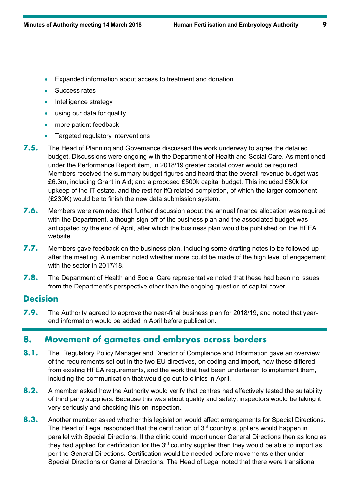- Expanded information about access to treatment and donation
- Success rates
- Intelligence strategy
- using our data for quality
- more patient feedback
- Targeted regulatory interventions
- **7.5.** The Head of Planning and Governance discussed the work underway to agree the detailed budget. Discussions were ongoing with the Department of Health and Social Care. As mentioned under the Performance Report item, in 2018/19 greater capital cover would be required. Members received the summary budget figures and heard that the overall revenue budget was £6.3m, including Grant in Aid; and a proposed £500k capital budget. This included £80k for upkeep of the IT estate, and the rest for IfQ related completion, of which the larger component (£230K) would be to finish the new data submission system.
- **7.6.** Members were reminded that further discussion about the annual finance allocation was required with the Department, although sign-off of the business plan and the associated budget was anticipated by the end of April, after which the business plan would be published on the HFEA website.
- **7.7.** Members gave feedback on the business plan, including some drafting notes to be followed up after the meeting. A member noted whether more could be made of the high level of engagement with the sector in 2017/18.
- **7.8.** The Department of Health and Social Care representative noted that these had been no issues from the Department's perspective other than the ongoing question of capital cover.

#### **Decision**

**7.9.** The Authority agreed to approve the near-final business plan for 2018/19, and noted that yearend information would be added in April before publication.

# **8. Movement of gametes and embryos across borders**

- **8.1.** The. Regulatory Policy Manager and Director of Compliance and Information gave an overview of the requirements set out in the two EU directives, on coding and import, how these differed from existing HFEA requirements, and the work that had been undertaken to implement them, including the communication that would go out to clinics in April.
- **8.2.** A member asked how the Authority would verify that centres had effectively tested the suitability of third party suppliers. Because this was about quality and safety, inspectors would be taking it very seriously and checking this on inspection.
- **8.3.** Another member asked whether this legislation would affect arrangements for Special Directions. The Head of Legal responded that the certification of  $3<sup>rd</sup>$  country suppliers would happen in parallel with Special Directions. If the clinic could import under General Directions then as long as they had applied for certification for the  $3<sup>rd</sup>$  country supplier then they would be able to import as per the General Directions. Certification would be needed before movements either under Special Directions or General Directions. The Head of Legal noted that there were transitional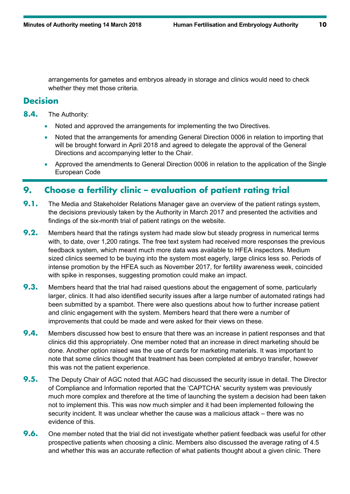arrangements for gametes and embryos already in storage and clinics would need to check whether they met those criteria.

## **Decision**

**8.4.** The Authority:

- Noted and approved the arrangements for implementing the two Directives.
- Noted that the arrangements for amending General Direction 0006 in relation to importing that will be brought forward in April 2018 and agreed to delegate the approval of the General Directions and accompanying letter to the Chair.
- Approved the amendments to General Direction 0006 in relation to the application of the Single European Code

# **9. Choose a fertility clinic – evaluation of patient rating trial**

- **9.1.** The Media and Stakeholder Relations Manager gave an overview of the patient ratings system, the decisions previously taken by the Authority in March 2017 and presented the activities and findings of the six-month trial of patient ratings on the website.
- **9.2.** Members heard that the ratings system had made slow but steady progress in numerical terms with, to date, over 1,200 ratings. The free text system had received more responses the previous feedback system, which meant much more data was available to HFEA inspectors. Medium sized clinics seemed to be buying into the system most eagerly, large clinics less so. Periods of intense promotion by the HFEA such as November 2017, for fertility awareness week, coincided with spike in responses, suggesting promotion could make an impact.
- **9.3.** Members heard that the trial had raised questions about the engagement of some, particularly larger, clinics. It had also identified security issues after a large number of automated ratings had been submitted by a spambot. There were also questions about how to further increase patient and clinic engagement with the system. Members heard that there were a number of improvements that could be made and were asked for their views on these.
- **9.4.** Members discussed how best to ensure that there was an increase in patient responses and that clinics did this appropriately. One member noted that an increase in direct marketing should be done. Another option raised was the use of cards for marketing materials. It was important to note that some clinics thought that treatment has been completed at embryo transfer, however this was not the patient experience.
- **9.5.** The Deputy Chair of AGC noted that AGC had discussed the security issue in detail. The Director of Compliance and Information reported that the 'CAPTCHA' security system was previously much more complex and therefore at the time of launching the system a decision had been taken not to implement this. This was now much simpler and it had been implemented following the security incident. It was unclear whether the cause was a malicious attack – there was no evidence of this.
- **9.6.** One member noted that the trial did not investigate whether patient feedback was useful for other prospective patients when choosing a clinic. Members also discussed the average rating of 4.5 and whether this was an accurate reflection of what patients thought about a given clinic. There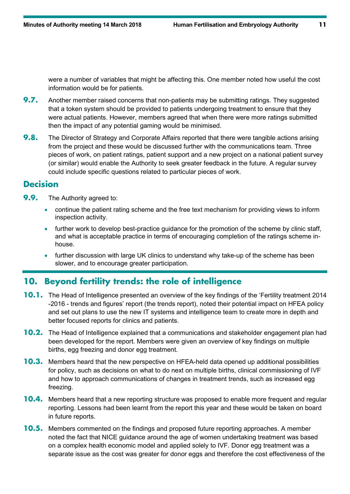were a number of variables that might be affecting this. One member noted how useful the cost information would be for patients.

- **9.7.** Another member raised concerns that non-patients may be submitting ratings. They suggested that a token system should be provided to patients undergoing treatment to ensure that they were actual patients. However, members agreed that when there were more ratings submitted then the impact of any potential gaming would be minimised.
- **9.8.** The Director of Strategy and Corporate Affairs reported that there were tangible actions arising from the project and these would be discussed further with the communications team. Three pieces of work, on patient ratings, patient support and a new project on a national patient survey (or similar) would enable the Authority to seek greater feedback in the future. A regular survey could include specific questions related to particular pieces of work.

## **Decision**

- **9.9.** The Authority agreed to:
	- continue the patient rating scheme and the free text mechanism for providing views to inform inspection activity.
	- further work to develop best-practice guidance for the promotion of the scheme by clinic staff, and what is acceptable practice in terms of encouraging completion of the ratings scheme inhouse.
	- further discussion with large UK clinics to understand why take-up of the scheme has been slower, and to encourage greater participation.

# **10. Beyond fertility trends: the role of intelligence**

- **10.1.** The Head of Intelligence presented an overview of the key findings of the 'Fertility treatment 2014 -2016 - trends and figures' report (the trends report), noted their potential impact on HFEA policy and set out plans to use the new IT systems and intelligence team to create more in depth and better focused reports for clinics and patients.
- **10.2.** The Head of Intelligence explained that a communications and stakeholder engagement plan had been developed for the report. Members were given an overview of key findings on multiple births, egg freezing and donor egg treatment.
- **10.3.** Members heard that the new perspective on HFEA-held data opened up additional possibilities for policy, such as decisions on what to do next on multiple births, clinical commissioning of IVF and how to approach communications of changes in treatment trends, such as increased egg freezing.
- **10.4.** Members heard that a new reporting structure was proposed to enable more frequent and regular reporting. Lessons had been learnt from the report this year and these would be taken on board in future reports.
- **10.5.** Members commented on the findings and proposed future reporting approaches. A member noted the fact that NICE guidance around the age of women undertaking treatment was based on a complex health economic model and applied solely to IVF. Donor egg treatment was a separate issue as the cost was greater for donor eggs and therefore the cost effectiveness of the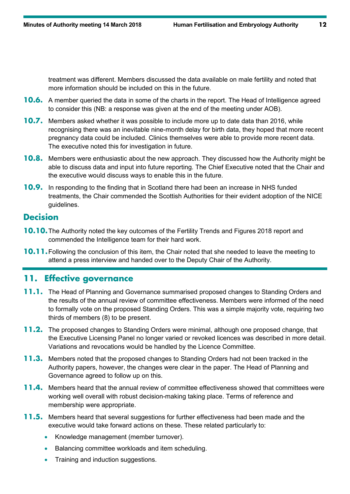treatment was different. Members discussed the data available on male fertility and noted that more information should be included on this in the future.

- **10.6.** A member queried the data in some of the charts in the report. The Head of Intelligence agreed to consider this (NB: a response was given at the end of the meeting under AOB).
- **10.7.** Members asked whether it was possible to include more up to date data than 2016, while recognising there was an inevitable nine-month delay for birth data, they hoped that more recent pregnancy data could be included. Clinics themselves were able to provide more recent data. The executive noted this for investigation in future.
- **10.8.** Members were enthusiastic about the new approach. They discussed how the Authority might be able to discuss data and input into future reporting. The Chief Executive noted that the Chair and the executive would discuss ways to enable this in the future.
- **10.9.** In responding to the finding that in Scotland there had been an increase in NHS funded treatments, the Chair commended the Scottish Authorities for their evident adoption of the NICE guidelines.

## **Decision**

- **10.10.**The Authority noted the key outcomes of the Fertility Trends and Figures 2018 report and commended the Intelligence team for their hard work.
- **10.11.** Following the conclusion of this item, the Chair noted that she needed to leave the meeting to attend a press interview and handed over to the Deputy Chair of the Authority.

# **11. Effective governance**

- **11.1.** The Head of Planning and Governance summarised proposed changes to Standing Orders and the results of the annual review of committee effectiveness. Members were informed of the need to formally vote on the proposed Standing Orders. This was a simple majority vote, requiring two thirds of members (8) to be present.
- **11.2.** The proposed changes to Standing Orders were minimal, although one proposed change, that the Executive Licensing Panel no longer varied or revoked licences was described in more detail. Variations and revocations would be handled by the Licence Committee.
- **11.3.** Members noted that the proposed changes to Standing Orders had not been tracked in the Authority papers, however, the changes were clear in the paper. The Head of Planning and Governance agreed to follow up on this.
- **11.4.** Members heard that the annual review of committee effectiveness showed that committees were working well overall with robust decision-making taking place. Terms of reference and membership were appropriate.
- **11.5.** Members heard that several suggestions for further effectiveness had been made and the executive would take forward actions on these. These related particularly to:
	- Knowledge management (member turnover).
	- Balancing committee workloads and item scheduling.
	- Training and induction suggestions.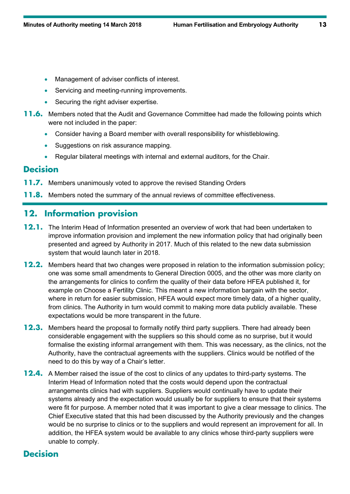- Management of adviser conflicts of interest.
- Servicing and meeting-running improvements.
- Securing the right adviser expertise.
- **11.6.** Members noted that the Audit and Governance Committee had made the following points which were not included in the paper:
	- Consider having a Board member with overall responsibility for whistleblowing.
	- Suggestions on risk assurance mapping.
	- Regular bilateral meetings with internal and external auditors, for the Chair.

#### **Decision**

- **11.7.** Members unanimously voted to approve the revised Standing Orders
- **11.8.** Members noted the summary of the annual reviews of committee effectiveness.

# **12. Information provision**

- **12.1.** The Interim Head of Information presented an overview of work that had been undertaken to improve information provision and implement the new information policy that had originally been presented and agreed by Authority in 2017. Much of this related to the new data submission system that would launch later in 2018.
- **12.2.** Members heard that two changes were proposed in relation to the information submission policy; one was some small amendments to General Direction 0005, and the other was more clarity on the arrangements for clinics to confirm the quality of their data before HFEA published it, for example on Choose a Fertility Clinic. This meant a new information bargain with the sector, where in return for easier submission, HFEA would expect more timely data, of a higher quality, from clinics. The Authority in turn would commit to making more data publicly available. These expectations would be more transparent in the future.
- **12.3.** Members heard the proposal to formally notify third party suppliers. There had already been considerable engagement with the suppliers so this should come as no surprise, but it would formalise the existing informal arrangement with them. This was necessary, as the clinics, not the Authority, have the contractual agreements with the suppliers. Clinics would be notified of the need to do this by way of a Chair's letter.
- **12.4.** A Member raised the issue of the cost to clinics of any updates to third-party systems. The Interim Head of Information noted that the costs would depend upon the contractual arrangements clinics had with suppliers. Suppliers would continually have to update their systems already and the expectation would usually be for suppliers to ensure that their systems were fit for purpose. A member noted that it was important to give a clear message to clinics. The Chief Executive stated that this had been discussed by the Authority previously and the changes would be no surprise to clinics or to the suppliers and would represent an improvement for all. In addition, the HFEA system would be available to any clinics whose third-party suppliers were unable to comply.

# **Decision**